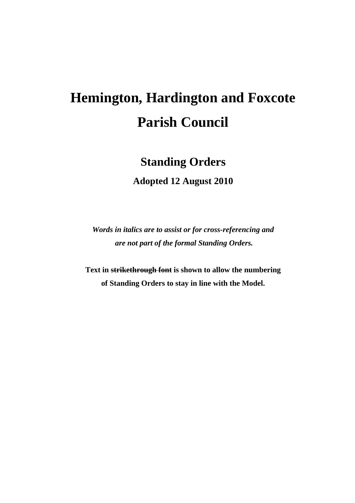# **Hemington, Hardington and Foxcote Parish Council**

# **Standing Orders**

**Adopted 12 August 2010** 

*Words in italics are to assist or for cross-referencing and are not part of the formal Standing Orders.* 

**Text in strikethrough font is shown to allow the numbering of Standing Orders to stay in line with the Model.**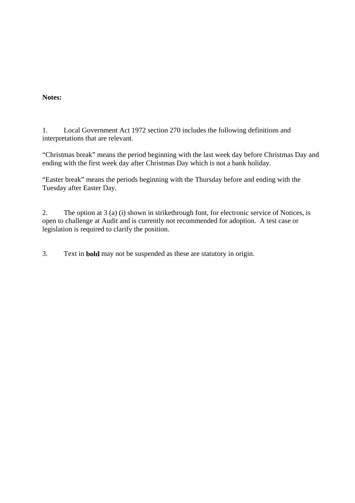#### **Notes:**

1. Local Government Act 1972 section 270 includes the following definitions and interpretations that are relevant.

"Christmas break" means the period beginning with the last week day before Christmas Day and ending with the first week day after Christmas Day which is not a bank holiday.

"Easter break" means the periods beginning with the Thursday before and ending with the Tuesday after Easter Day.

2. The option at 3 (a) (i) shown in strikethrough font, for electronic service of Notices, is open to challenge at Audit and is currently not recommended for adoption. A test case or legislation is required to clarify the position.

3. Text in **bold** may not be suspended as these are statutory in origin.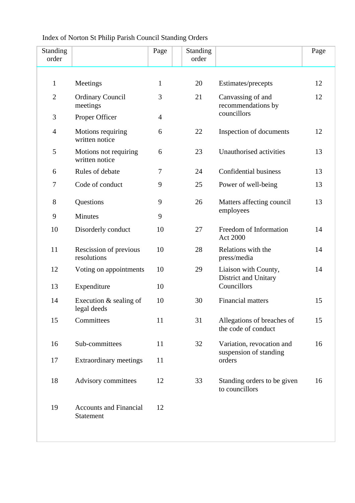## Index of Norton St Philip Parish Council Standing Orders

| Standing<br>order |                                            | Page           | <b>Standing</b><br>order |                                                               | Page |
|-------------------|--------------------------------------------|----------------|--------------------------|---------------------------------------------------------------|------|
|                   |                                            |                |                          |                                                               |      |
| $\mathbf{1}$      | Meetings                                   | $\mathbf{1}$   | 20                       | Estimates/precepts                                            | 12   |
| $\overline{2}$    | <b>Ordinary Council</b><br>meetings        | 3              | 21                       | Canvassing of and<br>recommendations by<br>councillors        | 12   |
| 3                 | Proper Officer                             | $\overline{4}$ |                          |                                                               |      |
| $\overline{4}$    | Motions requiring<br>written notice        | 6              | 22                       | Inspection of documents                                       | 12   |
| 5                 | Motions not requiring<br>written notice    | 6              | 23                       | Unauthorised activities                                       | 13   |
| 6                 | Rules of debate                            | 7              | 24                       | Confidential business                                         | 13   |
| $\overline{7}$    | Code of conduct                            | 9              | 25                       | Power of well-being                                           | 13   |
| 8                 | <b>Questions</b>                           | 9              | 26                       | Matters affecting council<br>employees                        | 13   |
| 9                 | Minutes                                    | 9              |                          |                                                               |      |
| 10                | Disorderly conduct                         | 10             | 27                       | Freedom of Information<br>Act 2000                            | 14   |
| 11                | Rescission of previous<br>resolutions      | 10             | 28                       | Relations with the<br>press/media                             | 14   |
| 12                | Voting on appointments                     | 10             | 29                       | Liaison with County,<br>District and Unitary<br>Councillors   | 14   |
| 13                | Expenditure                                | 10             |                          |                                                               |      |
| 14                | Execution & sealing of<br>legal deeds      | 10             | 30                       | <b>Financial matters</b>                                      | 15   |
| 15                | Committees                                 | 11             | 31                       | Allegations of breaches of<br>the code of conduct             | 15   |
| 16                | Sub-committees                             | 11             | 32                       | Variation, revocation and<br>suspension of standing<br>orders | 16   |
| 17                | <b>Extraordinary meetings</b>              | 11             |                          |                                                               |      |
| 18                | Advisory committees                        | 12             | 33                       | Standing orders to be given<br>to councillors                 | 16   |
| 19                | <b>Accounts and Financial</b><br>Statement | 12             |                          |                                                               |      |
|                   |                                            |                |                          |                                                               |      |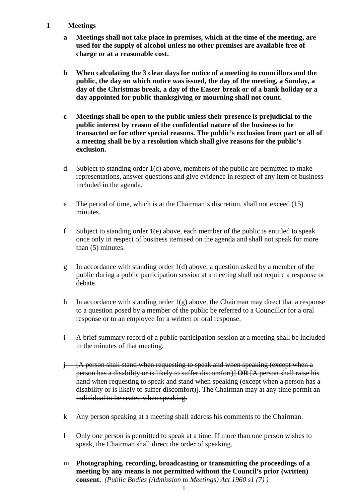#### **1 Meetings**

- **a Meetings shall not take place in premises, which at the time of the meeting, are used for the supply of alcohol unless no other premises are available free of charge or at a reasonable cost.**
- **b When calculating the 3 clear days for notice of a meeting to councillors and the public, the day on which notice was issued, the day of the meeting, a Sunday, a day of the Christmas break, a day of the Easter break or of a bank holiday or a day appointed for public thanksgiving or mourning shall not count.**
- **c Meetings shall be open to the public unless their presence is prejudicial to the public interest by reason of the confidential nature of the business to be transacted or for other special reasons. The public's exclusion from part or all of a meeting shall be by a resolution which shall give reasons for the public's exclusion.**
- d Subject to standing order 1(c) above, members of the public are permitted to make representations, answer questions and give evidence in respect of any item of business included in the agenda.
- e The period of time, which is at the Chairman's discretion, shall not exceed (15) minutes.
- f Subject to standing order 1(e) above, each member of the public is entitled to speak once only in respect of business itemised on the agenda and shall not speak for more than (5) minutes.
- g In accordance with standing order 1(d) above, a question asked by a member of the public during a public participation session at a meeting shall not require a response or debate.
- h In accordance with standing order  $1(g)$  above, the Chairman may direct that a response to a question posed by a member of the public be referred to a Councillor for a oral response or to an employee for a written or oral response.
- i A brief summary record of a public participation session at a meeting shall be included in the minutes of that meeting.
- $j$  [A person shall stand when requesting to speak and when speaking (except when a person has a disability or is likely to suffer discomfort)] **OR** [A person shall raise his hand when requesting to speak and stand when speaking (except when a person has a disability or is likely to suffer discomfort)]. The Chairman may at any time permit an individual to be seated when speaking.
- k Any person speaking at a meeting shall address his comments to the Chairman.
- l Only one person is permitted to speak at a time. If more than one person wishes to speak, the Chairman shall direct the order of speaking.
- m **Photographing, recording, broadcasting or transmitting the proceedings of a meeting by any means is not permitted without the Council's prior (written) consent.** *(Public Bodies (Admission to Meetings) Act 1960 s1 (7) )*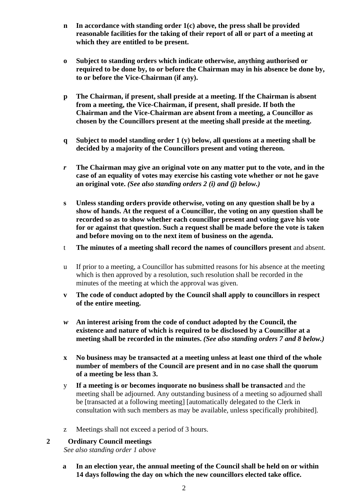- **n In accordance with standing order 1(c) above, the press shall be provided reasonable facilities for the taking of their report of all or part of a meeting at which they are entitled to be present.**
- **o Subject to standing orders which indicate otherwise, anything authorised or required to be done by, to or before the Chairman may in his absence be done by, to or before the Vice-Chairman (if any).**
- **p The Chairman, if present, shall preside at a meeting. If the Chairman is absent from a meeting, the Vice-Chairman, if present, shall preside. If both the Chairman and the Vice-Chairman are absent from a meeting, a Councillor as chosen by the Councillors present at the meeting shall preside at the meeting.**
- **q Subject to model standing order 1 (y) below, all questions at a meeting shall be decided by a majority of the Councillors present and voting thereon.**
- *r* **The Chairman may give an original vote on any matter put to the vote, and in the case of an equality of votes may exercise his casting vote whether or not he gave an original vote.** *(See also standing orders 2 (i) and (j) below.)*
- **s Unless standing orders provide otherwise, voting on any question shall be by a show of hands. At the request of a Councillor, the voting on any question shall be recorded so as to show whether each councillor present and voting gave his vote for or against that question. Such a request shall be made before the vote is taken and before moving on to the next item of business on the agenda.**
- t **The minutes of a meeting shall record the names of councillors present** and absent.
- u If prior to a meeting, a Councillor has submitted reasons for his absence at the meeting which is then approved by a resolution, such resolution shall be recorded in the minutes of the meeting at which the approval was given.
- **v The code of conduct adopted by the Council shall apply to councillors in respect of the entire meeting.**
- *w* **An interest arising from the code of conduct adopted by the Council, the existence and nature of which is required to be disclosed by a Councillor at a meeting shall be recorded in the minutes.** *(See also standing orders 7 and 8 below.)*
- **x No business may be transacted at a meeting unless at least one third of the whole number of members of the Council are present and in no case shall the quorum of a meeting be less than 3.**
- y **If a meeting is or becomes inquorate no business shall be transacted** and the meeting shall be adjourned. Any outstanding business of a meeting so adjourned shall be [transacted at a following meeting] [automatically delegated to the Clerk in consultation with such members as may be available, unless specifically prohibited].
- z Meetings shall not exceed a period of 3 hours.

#### **2 Ordinary Council meetings**

*See also standing order 1 above* 

**a In an election year, the annual meeting of the Council shall be held on or within 14 days following the day on which the new councillors elected take office.**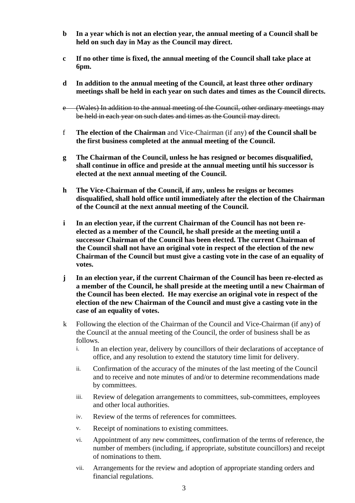- **b In a year which is not an election year, the annual meeting of a Council shall be held on such day in May as the Council may direct.**
- **c If no other time is fixed, the annual meeting of the Council shall take place at 6pm.**
- **d In addition to the annual meeting of the Council, at least three other ordinary meetings shall be held in each year on such dates and times as the Council directs.**
- e (Wales) In addition to the annual meeting of the Council, other ordinary meetings may be held in each year on such dates and times as the Council may direct.
- f **The election of the Chairman** and Vice-Chairman (if any) **of the Council shall be the first business completed at the annual meeting of the Council.**
- **g The Chairman of the Council, unless he has resigned or becomes disqualified, shall continue in office and preside at the annual meeting until his successor is elected at the next annual meeting of the Council.**
- **h The Vice-Chairman of the Council, if any, unless he resigns or becomes disqualified, shall hold office until immediately after the election of the Chairman of the Council at the next annual meeting of the Council.**
- **i In an election year, if the current Chairman of the Council has not been reelected as a member of the Council, he shall preside at the meeting until a successor Chairman of the Council has been elected. The current Chairman of the Council shall not have an original vote in respect of the election of the new Chairman of the Council but must give a casting vote in the case of an equality of votes.**
- **j In an election year, if the current Chairman of the Council has been re-elected as a member of the Council, he shall preside at the meeting until a new Chairman of the Council has been elected. He may exercise an original vote in respect of the election of the new Chairman of the Council and must give a casting vote in the case of an equality of votes.**
- k Following the election of the Chairman of the Council and Vice-Chairman (if any) of the Council at the annual meeting of the Council, the order of business shall be as follows.
	- i. In an election year, delivery by councillors of their declarations of acceptance of office, and any resolution to extend the statutory time limit for delivery.
	- ii. Confirmation of the accuracy of the minutes of the last meeting of the Council and to receive and note minutes of and/or to determine recommendations made by committees.
	- iii. Review of delegation arrangements to committees, sub-committees, employees and other local authorities.
	- iv. Review of the terms of references for committees.
	- v. Receipt of nominations to existing committees.
	- vi. Appointment of any new committees, confirmation of the terms of reference, the number of members (including, if appropriate, substitute councillors) and receipt of nominations to them.
	- vii. Arrangements for the review and adoption of appropriate standing orders and financial regulations.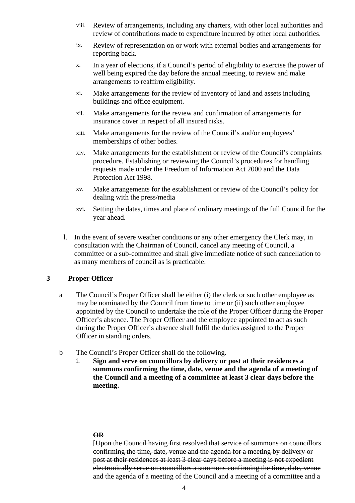- viii. Review of arrangements, including any charters, with other local authorities and review of contributions made to expenditure incurred by other local authorities.
- ix. Review of representation on or work with external bodies and arrangements for reporting back.
- x. In a year of elections, if a Council's period of eligibility to exercise the power of well being expired the day before the annual meeting, to review and make arrangements to reaffirm eligibility.
- xi. Make arrangements for the review of inventory of land and assets including buildings and office equipment.
- xii. Make arrangements for the review and confirmation of arrangements for insurance cover in respect of all insured risks.
- xiii. Make arrangements for the review of the Council's and/or employees' memberships of other bodies.
- xiv. Make arrangements for the establishment or review of the Council's complaints procedure. Establishing or reviewing the Council's procedures for handling requests made under the Freedom of Information Act 2000 and the Data Protection Act 1998.
- xv. Make arrangements for the establishment or review of the Council's policy for dealing with the press/media
- xvi. Setting the dates, times and place of ordinary meetings of the full Council for the year ahead.
- l. In the event of severe weather conditions or any other emergency the Clerk may, in consultation with the Chairman of Council, cancel any meeting of Council, a committee or a sub-committee and shall give immediate notice of such cancellation to as many members of council as is practicable.

#### **3 Proper Officer**

- a The Council's Proper Officer shall be either (i) the clerk or such other employee as may be nominated by the Council from time to time or (ii) such other employee appointed by the Council to undertake the role of the Proper Officer during the Proper Officer's absence. The Proper Officer and the employee appointed to act as such during the Proper Officer's absence shall fulfil the duties assigned to the Proper Officer in standing orders.
- b The Council's Proper Officer shall do the following.
	- i. **Sign and serve on councillors by delivery or post at their residences a summons confirming the time, date, venue and the agenda of a meeting of the Council and a meeting of a committee at least 3 clear days before the meeting.**

#### **OR**

[Upon the Council having first resolved that service of summons on councillors confirming the time, date, venue and the agenda for a meeting by delivery or post at their residences at least 3 clear days before a meeting is not expedient electronically serve on councillors a summons confirming the time, date, venue and the agenda of a meeting of the Council and a meeting of a committee and a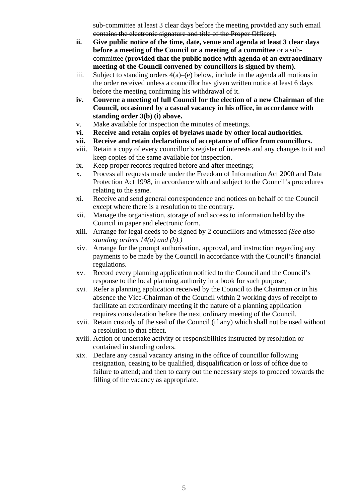sub-committee at least 3 clear days before the meeting provided any such email contains the electronic signature and title of the Proper Officer].

- **ii. Give public notice of the time, date, venue and agenda at least 3 clear days before a meeting of the Council or a meeting of a committee** or a subcommittee **(provided that the public notice with agenda of an extraordinary meeting of the Council convened by councillors is signed by them).**
- iii. Subject to standing orders 4(a)–(e) below, include in the agenda all motions in the order received unless a councillor has given written notice at least 6 days before the meeting confirming his withdrawal of it.
- **iv. Convene a meeting of full Council for the election of a new Chairman of the Council, occasioned by a casual vacancy in his office, in accordance with standing order 3(b) (i) above.**
- v. Make available for inspection the minutes of meetings.
- **vi. Receive and retain copies of byelaws made by other local authorities.**
- **vii. Receive and retain declarations of acceptance of office from councillors.**
- viii. Retain a copy of every councillor's register of interests and any changes to it and keep copies of the same available for inspection.
- ix. Keep proper records required before and after meetings;
- x. Process all requests made under the Freedom of Information Act 2000 and Data Protection Act 1998, in accordance with and subject to the Council's procedures relating to the same.
- xi. Receive and send general correspondence and notices on behalf of the Council except where there is a resolution to the contrary.
- xii. Manage the organisation, storage of and access to information held by the Council in paper and electronic form.
- xiii. Arrange for legal deeds to be signed by 2 councillors and witnessed *(See also standing orders 14(a) and (b).)*
- xiv. Arrange for the prompt authorisation, approval, and instruction regarding any payments to be made by the Council in accordance with the Council's financial regulations.
- xv. Record every planning application notified to the Council and the Council's response to the local planning authority in a book for such purpose;
- xvi. Refer a planning application received by the Council to the Chairman or in his absence the Vice-Chairman of the Council within 2 working days of receipt to facilitate an extraordinary meeting if the nature of a planning application requires consideration before the next ordinary meeting of the Council.
- xvii. Retain custody of the seal of the Council (if any) which shall not be used without a resolution to that effect.
- xviii. Action or undertake activity or responsibilities instructed by resolution or contained in standing orders.
- xix. Declare any casual vacancy arising in the office of councillor following resignation, ceasing to be qualified, disqualification or loss of office due to failure to attend; and then to carry out the necessary steps to proceed towards the filling of the vacancy as appropriate.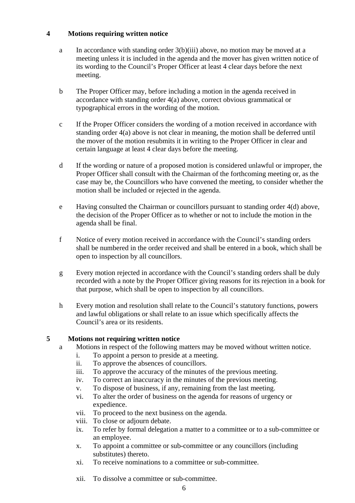#### **4 Motions requiring written notice**

- a In accordance with standing order 3(b)(iii) above, no motion may be moved at a meeting unless it is included in the agenda and the mover has given written notice of its wording to the Council's Proper Officer at least 4 clear days before the next meeting.
- b The Proper Officer may, before including a motion in the agenda received in accordance with standing order 4(a) above, correct obvious grammatical or typographical errors in the wording of the motion.
- c If the Proper Officer considers the wording of a motion received in accordance with standing order 4(a) above is not clear in meaning, the motion shall be deferred until the mover of the motion resubmits it in writing to the Proper Officer in clear and certain language at least 4 clear days before the meeting.
- d If the wording or nature of a proposed motion is considered unlawful or improper, the Proper Officer shall consult with the Chairman of the forthcoming meeting or, as the case may be, the Councillors who have convened the meeting, to consider whether the motion shall be included or rejected in the agenda.
- e Having consulted the Chairman or councillors pursuant to standing order 4(d) above, the decision of the Proper Officer as to whether or not to include the motion in the agenda shall be final.
- f Notice of every motion received in accordance with the Council's standing orders shall be numbered in the order received and shall be entered in a book, which shall be open to inspection by all councillors.
- g Every motion rejected in accordance with the Council's standing orders shall be duly recorded with a note by the Proper Officer giving reasons for its rejection in a book for that purpose, which shall be open to inspection by all councillors.
- h Every motion and resolution shall relate to the Council's statutory functions, powers and lawful obligations or shall relate to an issue which specifically affects the Council's area or its residents.

#### **5 Motions not requiring written notice**

- a Motions in respect of the following matters may be moved without written notice.
	- i. To appoint a person to preside at a meeting.
	- ii. To approve the absences of councillors.
	- iii. To approve the accuracy of the minutes of the previous meeting.
	- iv. To correct an inaccuracy in the minutes of the previous meeting.
	- v. To dispose of business, if any, remaining from the last meeting.
	- vi. To alter the order of business on the agenda for reasons of urgency or expedience.
	- vii. To proceed to the next business on the agenda.
	- viii. To close or adjourn debate.
	- ix. To refer by formal delegation a matter to a committee or to a sub-committee or an employee.
	- x. To appoint a committee or sub-committee or any councillors (including substitutes) thereto.
	- xi. To receive nominations to a committee or sub-committee.
	- xii. To dissolve a committee or sub-committee.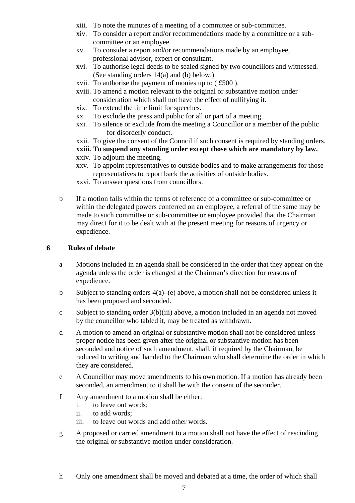- xiii. To note the minutes of a meeting of a committee or sub-committee.
- xiv. To consider a report and/or recommendations made by a committee or a subcommittee or an employee.
- xv. To consider a report and/or recommendations made by an employee, professional advisor, expert or consultant.
- xvi. To authorise legal deeds to be sealed signed by two councillors and witnessed. (See standing orders 14(a) and (b) below.)
- xvii. To authorise the payment of monies up to ( £500 ).
- xviii. To amend a motion relevant to the original or substantive motion under consideration which shall not have the effect of nullifying it.
- xix. To extend the time limit for speeches.
- xx. To exclude the press and public for all or part of a meeting.
- xxi. To silence or exclude from the meeting a Councillor or a member of the public for disorderly conduct.
- xxii. To give the consent of the Council if such consent is required by standing orders.

**xxiii. To suspend any standing order except those which are mandatory by law.** 

- xxiv. To adjourn the meeting.
- xxv. To appoint representatives to outside bodies and to make arrangements for those representatives to report back the activities of outside bodies.
- xxvi. To answer questions from councillors.
- b If a motion falls within the terms of reference of a committee or sub-committee or within the delegated powers conferred on an employee, a referral of the same may be made to such committee or sub-committee or employee provided that the Chairman may direct for it to be dealt with at the present meeting for reasons of urgency or expedience.

#### **6 Rules of debate**

- a Motions included in an agenda shall be considered in the order that they appear on the agenda unless the order is changed at the Chairman's direction for reasons of expedience.
- b Subject to standing orders  $4(a)$ –(e) above, a motion shall not be considered unless it has been proposed and seconded.
- c Subject to standing order 3(b)(iii) above, a motion included in an agenda not moved by the councillor who tabled it, may be treated as withdrawn.
- d A motion to amend an original or substantive motion shall not be considered unless proper notice has been given after the original or substantive motion has been seconded and notice of such amendment, shall, if required by the Chairman, be reduced to writing and handed to the Chairman who shall determine the order in which they are considered.
- e A Councillor may move amendments to his own motion. If a motion has already been seconded, an amendment to it shall be with the consent of the seconder.
- f Any amendment to a motion shall be either:
	- i. to leave out words;
	- ii. to add words;
	- iii. to leave out words and add other words.
- g A proposed or carried amendment to a motion shall not have the effect of rescinding the original or substantive motion under consideration.

h Only one amendment shall be moved and debated at a time, the order of which shall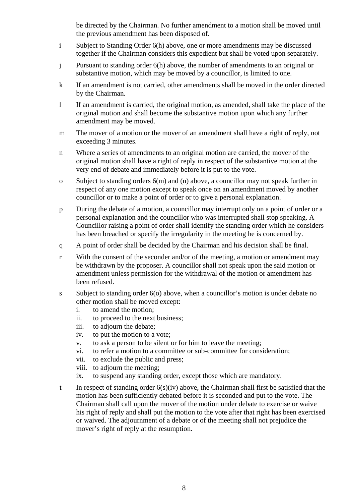be directed by the Chairman. No further amendment to a motion shall be moved until the previous amendment has been disposed of.

- i Subject to Standing Order 6(h) above, one or more amendments may be discussed together if the Chairman considers this expedient but shall be voted upon separately.
- j Pursuant to standing order 6(h) above, the number of amendments to an original or substantive motion, which may be moved by a councillor, is limited to one.
- k If an amendment is not carried, other amendments shall be moved in the order directed by the Chairman.
- l If an amendment is carried, the original motion, as amended, shall take the place of the original motion and shall become the substantive motion upon which any further amendment may be moved.
- m The mover of a motion or the mover of an amendment shall have a right of reply, not exceeding 3 minutes.
- n Where a series of amendments to an original motion are carried, the mover of the original motion shall have a right of reply in respect of the substantive motion at the very end of debate and immediately before it is put to the vote.
- o Subject to standing orders 6(m) and (n) above, a councillor may not speak further in respect of any one motion except to speak once on an amendment moved by another councillor or to make a point of order or to give a personal explanation.
- p During the debate of a motion, a councillor may interrupt only on a point of order or a personal explanation and the councillor who was interrupted shall stop speaking. A Councillor raising a point of order shall identify the standing order which he considers has been breached or specify the irregularity in the meeting he is concerned by.
- q A point of order shall be decided by the Chairman and his decision shall be final.
- r With the consent of the seconder and/or of the meeting, a motion or amendment may be withdrawn by the proposer. A councillor shall not speak upon the said motion or amendment unless permission for the withdrawal of the motion or amendment has been refused.
- s Subject to standing order 6(o) above, when a councillor's motion is under debate no other motion shall be moved except:
	- i. to amend the motion;
	- ii. to proceed to the next business;
	- iii. to adjourn the debate;
	- iv. to put the motion to a vote;
	- v. to ask a person to be silent or for him to leave the meeting;
	- vi. to refer a motion to a committee or sub-committee for consideration;
	- vii. to exclude the public and press;
	- viii. to adjourn the meeting;
	- ix. to suspend any standing order, except those which are mandatory.
- t In respect of standing order 6(s)(iv) above, the Chairman shall first be satisfied that the motion has been sufficiently debated before it is seconded and put to the vote. The Chairman shall call upon the mover of the motion under debate to exercise or waive his right of reply and shall put the motion to the vote after that right has been exercised or waived. The adjournment of a debate or of the meeting shall not prejudice the mover's right of reply at the resumption.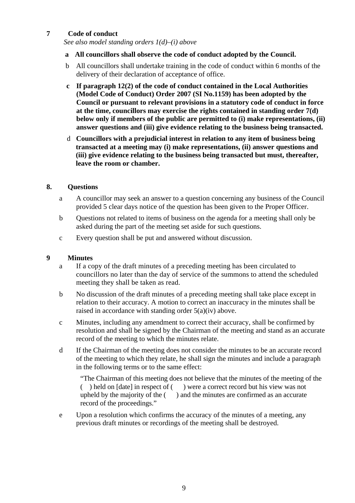#### **7 Code of conduct**

*See also model standing orders 1(d)–(i) above* 

#### **a All councillors shall observe the code of conduct adopted by the Council.**

- b All councillors shall undertake training in the code of conduct within 6 months of the delivery of their declaration of acceptance of office.
- **c If paragraph 12(2) of the code of conduct contained in the Local Authorities (Model Code of Conduct) Order 2007 (SI No.1159) has been adopted by the Council or pursuant to relevant provisions in a statutory code of conduct in force at the time, councillors may exercise the rights contained in standing order 7(d) below only if members of the public are permitted to (i) make representations, (ii) answer questions and (iii) give evidence relating to the business being transacted.**
- d **Councillors with a prejudicial interest in relation to any item of business being transacted at a meeting may (i) make representations, (ii) answer questions and (iii) give evidence relating to the business being transacted but must, thereafter, leave the room or chamber.**

#### **8. Questions**

- a A councillor may seek an answer to a question concerning any business of the Council provided 5 clear days notice of the question has been given to the Proper Officer.
- b Questions not related to items of business on the agenda for a meeting shall only be asked during the part of the meeting set aside for such questions.
- c Every question shall be put and answered without discussion.

#### **9 Minutes**

- a If a copy of the draft minutes of a preceding meeting has been circulated to councillors no later than the day of service of the summons to attend the scheduled meeting they shall be taken as read.
- b No discussion of the draft minutes of a preceding meeting shall take place except in relation to their accuracy. A motion to correct an inaccuracy in the minutes shall be raised in accordance with standing order 5(a)(iv) above.
- c Minutes, including any amendment to correct their accuracy, shall be confirmed by resolution and shall be signed by the Chairman of the meeting and stand as an accurate record of the meeting to which the minutes relate.
- d If the Chairman of the meeting does not consider the minutes to be an accurate record of the meeting to which they relate, he shall sign the minutes and include a paragraph in the following terms or to the same effect:

"The Chairman of this meeting does not believe that the minutes of the meeting of the ( ) held on [date] in respect of ( ) were a correct record but his view was not upheld by the majority of the ( ) and the minutes are confirmed as an accurate record of the proceedings."

e Upon a resolution which confirms the accuracy of the minutes of a meeting, any previous draft minutes or recordings of the meeting shall be destroyed.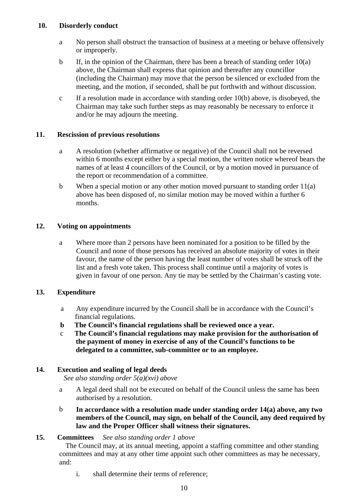#### **10. Disorderly conduct**

- a No person shall obstruct the transaction of business at a meeting or behave offensively or improperly.
- b If, in the opinion of the Chairman, there has been a breach of standing order 10(a) above, the Chairman shall express that opinion and thereafter any councillor (including the Chairman) may move that the person be silenced or excluded from the meeting, and the motion, if seconded, shall be put forthwith and without discussion.
- c If a resolution made in accordance with standing order  $10(b)$  above, is disobeyed, the Chairman may take such further steps as may reasonably be necessary to enforce it and/or he may adjourn the meeting.

#### **11. Rescission of previous resolutions**

- a A resolution (whether affirmative or negative) of the Council shall not be reversed within 6 months except either by a special motion, the written notice whereof bears the names of at least 4 councillors of the Council, or by a motion moved in pursuance of the report or recommendation of a committee.
- b When a special motion or any other motion moved pursuant to standing order 11(a) above has been disposed of, no similar motion may be moved within a further 6 months.

#### **12. Voting on appointments**

a Where more than 2 persons have been nominated for a position to be filled by the Council and none of those persons has received an absolute majority of votes in their favour, the name of the person having the least number of votes shall be struck off the list and a fresh vote taken. This process shall continue until a majority of votes is given in favour of one person. Any tie may be settled by the Chairman's casting vote.

#### **13. Expenditure**

- a Any expenditure incurred by the Council shall be in accordance with the Council's financial regulations.
- **b The Council's financial regulations shall be reviewed once a year.**
- c **The Council's financial regulations may make provision for the authorisation of the payment of money in exercise of any of the Council's functions to be delegated to a committee, sub-committee or to an employee.**

#### **14. Execution and sealing of legal deeds**

 *See also standing order 5(a)(xvi) above* 

- a A legal deed shall not be executed on behalf of the Council unless the same has been authorised by a resolution.
- b **In accordance with a resolution made under standing order 14(a) above, any two members of the Council, may sign, on behalf of the Council, any deed required by law and the Proper Officer shall witness their signatures.**

#### **15. Committees** *See also standing order 1 above*

The Council may, at its annual meeting, appoint a staffing committee and other standing committees and may at any other time appoint such other committees as may be necessary, and:

i. shall determine their terms of reference;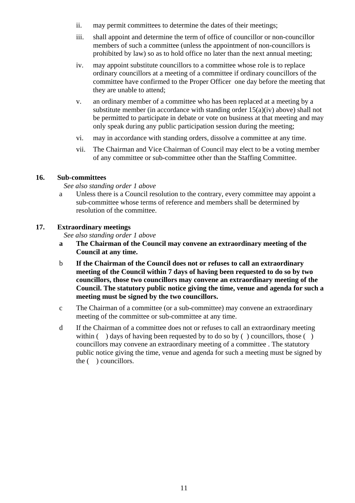- ii. may permit committees to determine the dates of their meetings;
- iii. shall appoint and determine the term of office of councillor or non-councillor members of such a committee (unless the appointment of non-councillors is prohibited by law) so as to hold office no later than the next annual meeting;
- iv. may appoint substitute councillors to a committee whose role is to replace ordinary councillors at a meeting of a committee if ordinary councillors of the committee have confirmed to the Proper Officer one day before the meeting that they are unable to attend;
- v. an ordinary member of a committee who has been replaced at a meeting by a substitute member (in accordance with standing order 15(a)(iv) above) shall not be permitted to participate in debate or vote on business at that meeting and may only speak during any public participation session during the meeting;
- vi. may in accordance with standing orders, dissolve a committee at any time.
- vii. The Chairman and Vice Chairman of Council may elect to be a voting member of any committee or sub-committee other than the Staffing Committee.

#### **16. Sub-committees**

#### *See also standing order 1 above*

a Unless there is a Council resolution to the contrary, every committee may appoint a sub-committee whose terms of reference and members shall be determined by resolution of the committee.

#### **17. Extraordinary meetings**

*See also standing order 1 above* 

- **a The Chairman of the Council may convene an extraordinary meeting of the Council at any time.**
- b **If the Chairman of the Council does not or refuses to call an extraordinary meeting of the Council within 7 days of having been requested to do so by two councillors, those two councillors may convene an extraordinary meeting of the Council. The statutory public notice giving the time, venue and agenda for such a meeting must be signed by the two councillors.**
- c The Chairman of a committee (or a sub-committee) may convene an extraordinary meeting of the committee or sub-committee at any time.
- d If the Chairman of a committee does not or refuses to call an extraordinary meeting within  $($ ) days of having been requested by to do so by  $($ ) councillors, those  $($ ) councillors may convene an extraordinary meeting of a committee . The statutory public notice giving the time, venue and agenda for such a meeting must be signed by the ( ) councillors.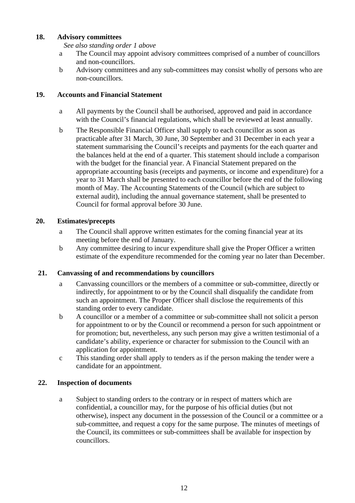#### **18. Advisory committees**

 *See also standing order 1 above* 

- a The Council may appoint advisory committees comprised of a number of councillors and non-councillors.
- b Advisory committees and any sub-committees may consist wholly of persons who are non-councillors.

#### **19. Accounts and Financial Statement**

- a All payments by the Council shall be authorised, approved and paid in accordance with the Council's financial regulations, which shall be reviewed at least annually.
- b The Responsible Financial Officer shall supply to each councillor as soon as practicable after 31 March, 30 June, 30 September and 31 December in each year a statement summarising the Council's receipts and payments for the each quarter and the balances held at the end of a quarter. This statement should include a comparison with the budget for the financial year. A Financial Statement prepared on the appropriate accounting basis (receipts and payments, or income and expenditure) for a year to 31 March shall be presented to each councillor before the end of the following month of May. The Accounting Statements of the Council (which are subject to external audit), including the annual governance statement, shall be presented to Council for formal approval before 30 June.

#### **20. Estimates/precepts**

- a The Council shall approve written estimates for the coming financial year at its meeting before the end of January.
- b Any committee desiring to incur expenditure shall give the Proper Officer a written estimate of the expenditure recommended for the coming year no later than December.

### **21. Canvassing of and recommendations by councillors**

- a Canvassing councillors or the members of a committee or sub-committee, directly or indirectly, for appointment to or by the Council shall disqualify the candidate from such an appointment. The Proper Officer shall disclose the requirements of this standing order to every candidate.
- b A councillor or a member of a committee or sub-committee shall not solicit a person for appointment to or by the Council or recommend a person for such appointment or for promotion; but, nevertheless, any such person may give a written testimonial of a candidate's ability, experience or character for submission to the Council with an application for appointment.
- c This standing order shall apply to tenders as if the person making the tender were a candidate for an appointment.

#### **22. Inspection of documents**

a Subject to standing orders to the contrary or in respect of matters which are confidential, a councillor may, for the purpose of his official duties (but not otherwise), inspect any document in the possession of the Council or a committee or a sub-committee, and request a copy for the same purpose. The minutes of meetings of the Council, its committees or sub-committees shall be available for inspection by councillors.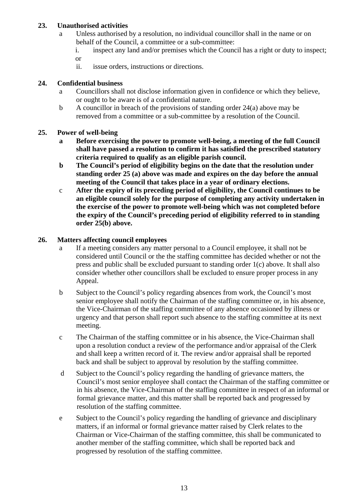#### **23. Unauthorised activities**

- a Unless authorised by a resolution, no individual councillor shall in the name or on behalf of the Council, a committee or a sub-committee:
	- i. inspect any land and/or premises which the Council has a right or duty to inspect; or
	- ii. issue orders, instructions or directions.

#### **24. Confidential business**

- a Councillors shall not disclose information given in confidence or which they believe, or ought to be aware is of a confidential nature.
- b A councillor in breach of the provisions of standing order  $24(a)$  above may be removed from a committee or a sub-committee by a resolution of the Council.

#### **25. Power of well-being**

- **a Before exercising the power to promote well-being, a meeting of the full Council shall have passed a resolution to confirm it has satisfied the prescribed statutory criteria required to qualify as an eligible parish council.**
- **b The Council's period of eligibility begins on the date that the resolution under standing order 25 (a) above was made and expires on the day before the annual meeting of the Council that takes place in a year of ordinary elections.**
- c **After the expiry of its preceding period of eligibility, the Council continues to be an eligible council solely for the purpose of completing any activity undertaken in the exercise of the power to promote well-being which was not completed before the expiry of the Council's preceding period of eligibility referred to in standing order 25(b) above.**

#### **26. Matters affecting council employees**

- a If a meeting considers any matter personal to a Council employee, it shall not be considered until Council or the the staffing committee has decided whether or not the press and public shall be excluded pursuant to standing order 1(c) above. It shall also consider whether other councillors shall be excluded to ensure proper process in any Appeal.
- b Subject to the Council's policy regarding absences from work, the Council's most senior employee shall notify the Chairman of the staffing committee or, in his absence, the Vice-Chairman of the staffing committee of any absence occasioned by illness or urgency and that person shall report such absence to the staffing committee at its next meeting.
- c The Chairman of the staffing committee or in his absence, the Vice-Chairman shall upon a resolution conduct a review of the performance and/or appraisal of the Clerk and shall keep a written record of it. The review and/or appraisal shall be reported back and shall be subject to approval by resolution by the staffing committee.
- d Subject to the Council's policy regarding the handling of grievance matters, the Council's most senior employee shall contact the Chairman of the staffing committee or in his absence, the Vice-Chairman of the staffing committee in respect of an informal or formal grievance matter, and this matter shall be reported back and progressed by resolution of the staffing committee.
- e Subject to the Council's policy regarding the handling of grievance and disciplinary matters, if an informal or formal grievance matter raised by Clerk relates to the Chairman or Vice-Chairman of the staffing committee, this shall be communicated to another member of the staffing committee, which shall be reported back and progressed by resolution of the staffing committee.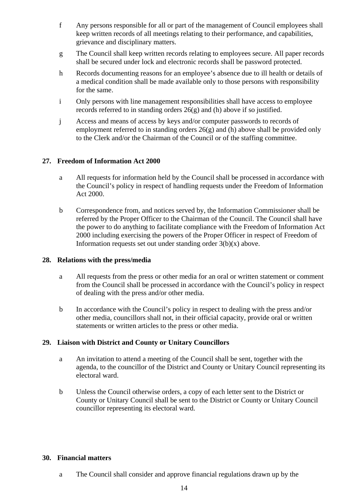- f Any persons responsible for all or part of the management of Council employees shall keep written records of all meetings relating to their performance, and capabilities, grievance and disciplinary matters.
- g The Council shall keep written records relating to employees secure. All paper records shall be secured under lock and electronic records shall be password protected.
- h Records documenting reasons for an employee's absence due to ill health or details of a medical condition shall be made available only to those persons with responsibility for the same.
- i Only persons with line management responsibilities shall have access to employee records referred to in standing orders 26(g) and (h) above if so justified.
- j Access and means of access by keys and/or computer passwords to records of employment referred to in standing orders 26(g) and (h) above shall be provided only to the Clerk and/or the Chairman of the Council or of the staffing committee.

#### **27. Freedom of Information Act 2000**

- a All requests for information held by the Council shall be processed in accordance with the Council's policy in respect of handling requests under the Freedom of Information Act 2000.
- b Correspondence from, and notices served by, the Information Commissioner shall be referred by the Proper Officer to the Chairman of the Council. The Council shall have the power to do anything to facilitate compliance with the Freedom of Information Act 2000 including exercising the powers of the Proper Officer in respect of Freedom of Information requests set out under standing order 3(b)(x) above.

#### **28. Relations with the press/media**

- a All requests from the press or other media for an oral or written statement or comment from the Council shall be processed in accordance with the Council's policy in respect of dealing with the press and/or other media.
- b In accordance with the Council's policy in respect to dealing with the press and/or other media, councillors shall not, in their official capacity, provide oral or written statements or written articles to the press or other media.

### **29. Liaison with District and County or Unitary Councillors**

- a An invitation to attend a meeting of the Council shall be sent, together with the agenda, to the councillor of the District and County or Unitary Council representing its electoral ward.
- b Unless the Council otherwise orders, a copy of each letter sent to the District or County or Unitary Council shall be sent to the District or County or Unitary Council councillor representing its electoral ward.

#### **30. Financial matters**

a The Council shall consider and approve financial regulations drawn up by the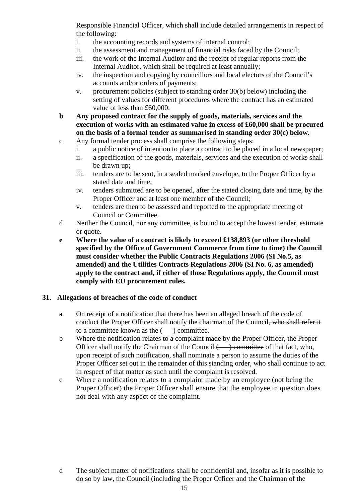Responsible Financial Officer, which shall include detailed arrangements in respect of the following:

- i. the accounting records and systems of internal control;
- ii. the assessment and management of financial risks faced by the Council;
- iii. the work of the Internal Auditor and the receipt of regular reports from the Internal Auditor, which shall be required at least annually;
- iv. the inspection and copying by councillors and local electors of the Council's accounts and/or orders of payments;
- v. procurement policies (subject to standing order 30(b) below) including the setting of values for different procedures where the contract has an estimated value of less than £60,000.
- **b Any proposed contract for the supply of goods, materials, services and the execution of works with an estimated value in excess of £60,000 shall be procured on the basis of a formal tender as summarised in standing order 30(c) below.**
- c Any formal tender process shall comprise the following steps:
	- i. a public notice of intention to place a contract to be placed in a local newspaper;
	- ii. a specification of the goods, materials, services and the execution of works shall be drawn up;
	- iii. tenders are to be sent, in a sealed marked envelope, to the Proper Officer by a stated date and time;
	- iv. tenders submitted are to be opened, after the stated closing date and time, by the Proper Officer and at least one member of the Council;
	- v. tenders are then to be assessed and reported to the appropriate meeting of Council or Committee.
- d Neither the Council, nor any committee, is bound to accept the lowest tender, estimate or quote.
- **e Where the value of a contract is likely to exceed £138,893 (or other threshold specified by the Office of Government Commerce from time to time) the Council must consider whether the Public Contracts Regulations 2006 (SI No.5, as amended) and the Utilities Contracts Regulations 2006 (SI No. 6, as amended) apply to the contract and, if either of those Regulations apply, the Council must comply with EU procurement rules.**

#### **31. Allegations of breaches of the code of conduct**

- a On receipt of a notification that there has been an alleged breach of the code of conduct the Proper Officer shall notify the chairman of the Council, who shall refer it to a committee known as the  $($   $)$  committee.
- b Where the notification relates to a complaint made by the Proper Officer, the Proper Officer shall notify the Chairman of the Council  $\longleftrightarrow$  committee of that fact, who, upon receipt of such notification, shall nominate a person to assume the duties of the Proper Officer set out in the remainder of this standing order, who shall continue to act in respect of that matter as such until the complaint is resolved.
- c Where a notification relates to a complaint made by an employee (not being the Proper Officer) the Proper Officer shall ensure that the employee in question does not deal with any aspect of the complaint.

d The subject matter of notifications shall be confidential and, insofar as it is possible to do so by law, the Council (including the Proper Officer and the Chairman of the